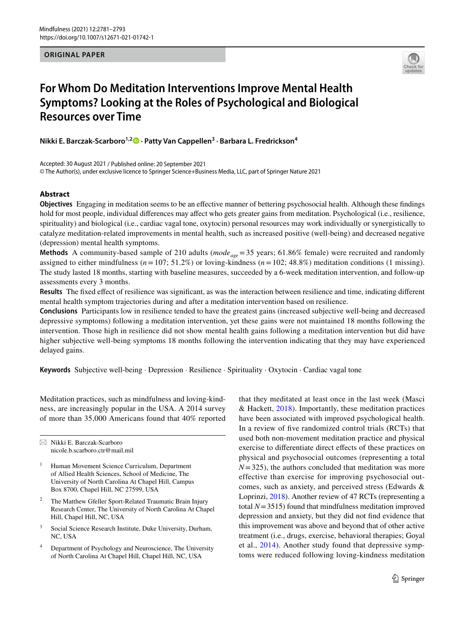**ORIGINAL PAPER**



# **For Whom Do Meditation Interventions Improve Mental Health Symptoms? Looking at the Roles of Psychological and Biological Resources over Time**

**Nikki E. Barczak‑Scarboro1,2 · Patty Van Cappellen3 · Barbara L. Fredrickson4**

Accepted: 30 August 2021 / Published online: 20 September 2021 © The Author(s), under exclusive licence to Springer Science+Business Media, LLC, part of Springer Nature 2021

# **Abstract**

**Objectives** Engaging in meditation seems to be an efective manner of bettering psychosocial health. Although these fndings hold for most people, individual diferences may afect who gets greater gains from meditation. Psychological (i.e., resilience, spirituality) and biological (i.e., cardiac vagal tone, oxytocin) personal resources may work individually or synergistically to catalyze meditation-related improvements in mental health, such as increased positive (well-being) and decreased negative (depression) mental health symptoms.

Methods A community-based sample of 210 adults (*mode<sub>age</sub>*=35 years; 61.86% female) were recruited and randomly assigned to either mindfulness (*n*=107; 51.2%) or loving-kindness (*n*=102; 48.8%) meditation conditions (1 missing). The study lasted 18 months, starting with baseline measures, succeeded by a 6-week meditation intervention, and follow-up assessments every 3 months.

**Results** The fxed efect of resilience was signifcant, as was the interaction between resilience and time, indicating diferent mental health symptom trajectories during and after a meditation intervention based on resilience.

**Conclusions** Participants low in resilience tended to have the greatest gains (increased subjective well-being and decreased depressive symptoms) following a meditation intervention, yet these gains were not maintained 18 months following the intervention. Those high in resilience did not show mental health gains following a meditation intervention but did have higher subjective well-being symptoms 18 months following the intervention indicating that they may have experienced delayed gains.

**Keywords** Subjective well-being · Depression · Resilience · Spirituality · Oxytocin · Cardiac vagal tone

Meditation practices, such as mindfulness and loving-kindness, are increasingly popular in the USA. A 2014 survey of more than 35,000 Americans found that 40% reported

 $\boxtimes$  Nikki E. Barczak-Scarboro nicole.b.scarboro.ctr@mail.mil

- <sup>1</sup> Human Movement Science Curriculum, Department of Allied Health Sciences, School of Medicine, The University of North Carolina At Chapel Hill, Campus Box 8700, Chapel Hill, NC 27599, USA
- <sup>2</sup> The Matthew Gfeller Sport-Related Traumatic Brain Injury Research Center, The University of North Carolina At Chapel Hill, Chapel Hill, NC, USA
- <sup>3</sup> Social Science Research Institute, Duke University, Durham, NC, USA
- <sup>4</sup> Department of Psychology and Neuroscience, The University of North Carolina At Chapel Hill, Chapel Hill, NC, USA

that they meditated at least once in the last week (Masci  $& Hackett, 2018$  $& Hackett, 2018$ . Importantly, these meditation practices have been associated with improved psychological health. In a review of fve randomized control trials (RCTs) that used both non-movement meditation practice and physical exercise to diferentiate direct efects of these practices on physical and psychosocial outcomes (representing a total  $N=325$ , the authors concluded that meditation was more effective than exercise for improving psychosocial outcomes, such as anxiety, and perceived stress (Edwards & Loprinzi, [2018](#page-11-1)). Another review of 47 RCTs (representing a total  $N=3515$ ) found that mindfulness meditation improved depression and anxiety, but they did not fnd evidence that this improvement was above and beyond that of other active treatment (i.e., drugs, exercise, behavioral therapies; Goyal et al., [2014\)](#page-11-2). Another study found that depressive symptoms were reduced following loving-kindness meditation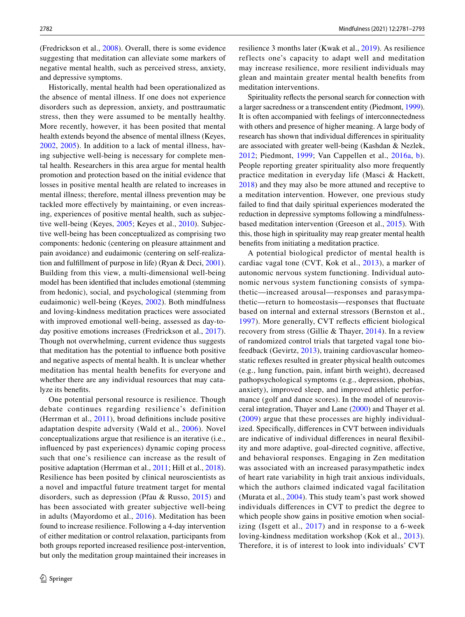(Fredrickson et al., [2008\)](#page-11-3). Overall, there is some evidence suggesting that meditation can alleviate some markers of negative mental health, such as perceived stress, anxiety, and depressive symptoms.

Historically, mental health had been operationalized as the absence of mental illness. If one does not experience disorders such as depression, anxiety, and posttraumatic stress, then they were assumed to be mentally healthy. More recently, however, it has been posited that mental health extends beyond the absence of mental illness (Keyes, [2002,](#page-11-4) [2005](#page-11-5)). In addition to a lack of mental illness, having subjective well-being is necessary for complete mental health. Researchers in this area argue for mental health promotion and protection based on the initial evidence that losses in positive mental health are related to increases in mental illness; therefore, mental illness prevention may be tackled more effectively by maintaining, or even increasing, experiences of positive mental health, such as subjective well-being (Keyes, [2005;](#page-11-5) Keyes et al., [2010](#page-11-6)). Subjective well-being has been conceptualized as comprising two components: hedonic (centering on pleasure attainment and pain avoidance) and eudaimonic (centering on self-realization and fulfllment of purpose in life) (Ryan & Deci, [2001](#page-12-0)). Building from this view, a multi-dimensional well-being model has been identifed that includes emotional (stemming from hedonic), social, and psychological (stemming from eudaimonic) well-being (Keyes, [2002\)](#page-11-4). Both mindfulness and loving-kindness meditation practices were associated with improved emotional well-being, assessed as day-today positive emotions increases (Fredrickson et al., [2017](#page-11-7)). Though not overwhelming, current evidence thus suggests that meditation has the potential to infuence both positive and negative aspects of mental health. It is unclear whether meditation has mental health benefits for everyone and whether there are any individual resources that may catalyze its benefts.

One potential personal resource is resilience. Though debate continues regarding resilience's definition (Herrman et al., [2011](#page-11-8)), broad defnitions include positive adaptation despite adversity (Wald et al., [2006](#page-12-1)). Novel conceptualizations argue that resilience is an iterative (i.e., infuenced by past experiences) dynamic coping process such that one's resilience can increase as the result of positive adaptation (Herrman et al., [2011;](#page-11-8) Hill et al., [2018](#page-11-9)). Resilience has been posited by clinical neuroscientists as a novel and impactful future treatment target for mental disorders, such as depression (Pfau & Russo, [2015\)](#page-12-2) and has been associated with greater subjective well-being in adults (Mayordomo et al., [2016\)](#page-12-3). Meditation has been found to increase resilience. Following a 4-day intervention of either meditation or control relaxation, participants from both groups reported increased resilience post-intervention, but only the meditation group maintained their increases in resilience 3 months later (Kwak et al., [2019](#page-11-10)). As resilience reflects one's capacity to adapt well and meditation may increase resilience, more resilient individuals may glean and maintain greater mental health benefts from meditation interventions.

Spirituality refects the personal search for connection with a larger sacredness or a transcendent entity (Piedmont, [1999\)](#page-12-4). It is often accompanied with feelings of interconnectedness with others and presence of higher meaning. A large body of research has shown that individual diferences in spirituality are associated with greater well-being (Kashdan & Nezlek, [2012;](#page-11-11) Piedmont, [1999;](#page-12-4) Van Cappellen et al., [2016a,](#page-12-5) [b](#page-12-6)). People reporting greater spirituality also more frequently practice meditation in everyday life (Masci & Hackett, [2018](#page-11-0)) and they may also be more attuned and receptive to a meditation intervention. However, one previous study failed to fnd that daily spiritual experiences moderated the reduction in depressive symptoms following a mindfulnessbased meditation intervention (Greeson et al., [2015](#page-11-12)). With this, those high in spirituality may reap greater mental health benefts from initiating a meditation practice.

A potential biological predictor of mental health is cardiac vagal tone (CVT, Kok et al., [2013\)](#page-11-13), a marker of autonomic nervous system functioning. Individual autonomic nervous system functioning consists of sympathetic—increased arousal—responses and parasympathetic—return to homeostasis—responses that fuctuate based on internal and external stressors (Bernston et al., [1997](#page-10-0)). More generally, CVT reflects efficient biological recovery from stress (Gillie & Thayer, [2014](#page-11-14)). In a review of randomized control trials that targeted vagal tone biofeedback (Gevirtz, [2013](#page-11-15)), training cardiovascular homeostatic refexes resulted in greater physical health outcomes (e.g., lung function, pain, infant birth weight), decreased pathopsychological symptoms (e.g., depression, phobias, anxiety), improved sleep, and improved athletic performance (golf and dance scores). In the model of neurovisceral integration, Thayer and Lane [\(2000](#page-12-7)) and Thayer et al. ([2009\)](#page-12-8) argue that these processes are highly individualized. Specifcally, diferences in CVT between individuals are indicative of individual diferences in neural fexibility and more adaptive, goal-directed cognitive, afective, and behavioral responses. Engaging in Zen meditation was associated with an increased parasympathetic index of heart rate variability in high trait anxious individuals, which the authors claimed indicated vagal facilitation (Murata et al., [2004\)](#page-12-9). This study team's past work showed individuals diferences in CVT to predict the degree to which people show gains in positive emotion when socializing (Isgett et al.,  $2017$ ) and in response to a 6-week loving-kindness meditation workshop (Kok et al., [2013](#page-11-13)). Therefore, it is of interest to look into individuals' CVT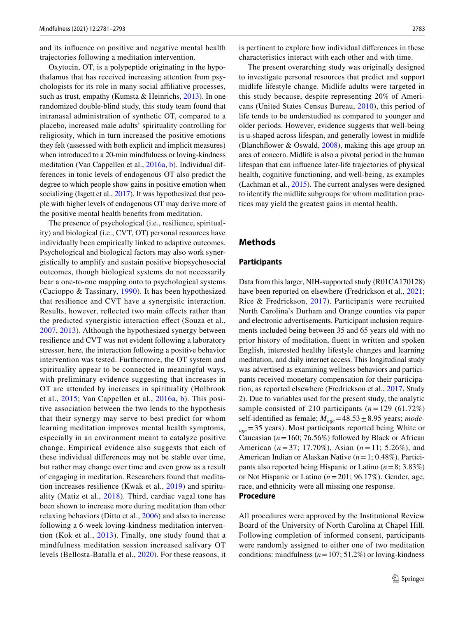and its infuence on positive and negative mental health trajectories following a meditation intervention.

Oxytocin, OT, is a polypeptide originating in the hypothalamus that has received increasing attention from psychologists for its role in many social afliative processes, such as trust, empathy (Kumsta & Heinrichs, [2013](#page-11-17)). In one randomized double-blind study, this study team found that intranasal administration of synthetic OT, compared to a placebo, increased male adults' spirituality controlling for religiosity, which in turn increased the positive emotions they felt (assessed with both explicit and implicit measures) when introduced to a 20-min mindfulness or loving-kindness meditation (Van Cappellen et al., [2016a,](#page-12-5) [b\)](#page-12-6). Individual differences in tonic levels of endogenous OT also predict the degree to which people show gains in positive emotion when socializing (Isgett et al., [2017\)](#page-11-16). It was hypothesized that people with higher levels of endogenous OT may derive more of the positive mental health benefts from meditation.

The presence of psychological (i.e., resilience, spirituality) and biological (i.e., CVT, OT) personal resources have individually been empirically linked to adaptive outcomes. Psychological and biological factors may also work synergistically to amplify and sustain positive biopsychosocial outcomes, though biological systems do not necessarily bear a one-to-one mapping onto to psychological systems (Cacioppo & Tassinary, [1990\)](#page-11-18). It has been hypothesized that resilience and CVT have a synergistic interaction. Results, however, refected two main efects rather than the predicted synergistic interaction efect (Souza et al., [2007,](#page-12-10) [2013](#page-12-11)). Although the hypothesized synergy between resilience and CVT was not evident following a laboratory stressor, here, the interaction following a positive behavior intervention was tested. Furthermore, the OT system and spirituality appear to be connected in meaningful ways, with preliminary evidence suggesting that increases in OT are attended by increases in spirituality (Holbrook et al., [2015;](#page-11-19) Van Cappellen et al., [2016a](#page-12-5), [b](#page-12-6)). This positive association between the two lends to the hypothesis that their synergy may serve to best predict for whom learning meditation improves mental health symptoms, especially in an environment meant to catalyze positive change. Empirical evidence also suggests that each of these individual diferences may not be stable over time, but rather may change over time and even grow as a result of engaging in meditation. Researchers found that meditation increases resilience (Kwak et al., [2019\)](#page-11-10) and spirituality (Matiz et al., [2018\)](#page-11-20). Third, cardiac vagal tone has been shown to increase more during meditation than other relaxing behaviors (Ditto et al., [2006\)](#page-11-21) and also to increase following a 6-week loving-kindness meditation intervention (Kok et al., [2013\)](#page-11-13). Finally, one study found that a mindfulness meditation session increased salivary OT levels (Bellosta-Batalla et al., [2020](#page-10-1)). For these reasons, it is pertinent to explore how individual diferences in these characteristics interact with each other and with time.

The present overarching study was originally designed to investigate personal resources that predict and support midlife lifestyle change. Midlife adults were targeted in this study because, despite representing 20% of Americans (United States Census Bureau, [2010\)](#page-12-12), this period of life tends to be understudied as compared to younger and older periods. However, evidence suggests that well-being is u-shaped across lifespan, and generally lowest in midlife (Blanchflower & Oswald,  $2008$ ), making this age group an area of concern. Midlife is also a pivotal period in the human lifespan that can infuence later-life trajectories of physical health, cognitive functioning, and well-being, as examples (Lachman et al., [2015](#page-11-22)). The current analyses were designed to identify the midlife subgroups for whom meditation practices may yield the greatest gains in mental health.

## **Methods**

## **Participants**

Data from this larger, NIH-supported study (R01CA170128) have been reported on elsewhere (Fredrickson et al., [2021](#page-11-23); Rice & Fredrickson, [2017\)](#page-12-13). Participants were recruited North Carolina's Durham and Orange counties via paper and electronic advertisements. Participant inclusion requirements included being between 35 and 65 years old with no prior history of meditation, fuent in written and spoken English, interested healthy lifestyle changes and learning meditation, and daily internet access. This longitudinal study was advertised as examining wellness behaviors and participants received monetary compensation for their participation, as reported elsewhere (Fredrickson et al., [2017,](#page-11-7) Study 2). Due to variables used for the present study, the analytic sample consisted of 210 participants (*n*= 129 (61.72%) self-identifed as female; *Mage*=48.53±8.95 years; *modeage*=35 years). Most participants reported being White or Caucasian ( $n = 160$ ; 76.56%) followed by Black or African American (*n* = 37; 17.70%), Asian (*n* = 11; 5.26%), and American Indian or Alaskan Native (*n*=1; 0.48%). Participants also reported being Hispanic or Latino (*n*=8; 3.83%) or Not Hispanic or Latino (*n*=201; 96.17%). Gender, age, race, and ethnicity were all missing one response. **Procedure**

All procedures were approved by the Institutional Review Board of the University of North Carolina at Chapel Hill. Following completion of informed consent, participants were randomly assigned to either one of two meditation conditions: mindfulness  $(n=107; 51.2%)$  or loving-kindness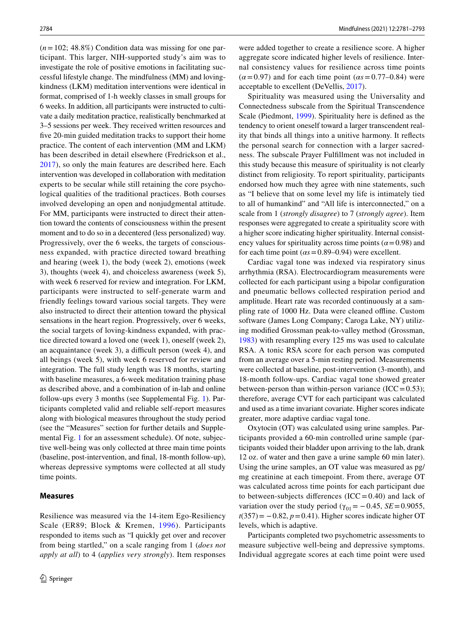$(n=102; 48.8\%)$  Condition data was missing for one participant. This larger, NIH-supported study's aim was to investigate the role of positive emotions in facilitating successful lifestyle change. The mindfulness (MM) and lovingkindness (LKM) meditation interventions were identical in format, comprised of 1-h weekly classes in small groups for 6 weeks. In addition, all participants were instructed to cultivate a daily meditation practice, realistically benchmarked at 3–5 sessions per week. They received written resources and five 20-min guided meditation tracks to support their home practice. The content of each intervention (MM and LKM) has been described in detail elsewhere (Fredrickson et al., [2017\)](#page-11-7), so only the main features are described here. Each intervention was developed in collaboration with meditation experts to be secular while still retaining the core psychological qualities of the traditional practices. Both courses involved developing an open and nonjudgmental attitude. For MM, participants were instructed to direct their attention toward the contents of consciousness within the present moment and to do so in a decentered (less personalized) way. Progressively, over the 6 weeks, the targets of consciousness expanded, with practice directed toward breathing and hearing (week 1), the body (week 2), emotions (week 3), thoughts (week 4), and choiceless awareness (week 5), with week 6 reserved for review and integration. For LKM, participants were instructed to self-generate warm and friendly feelings toward various social targets. They were also instructed to direct their attention toward the physical sensations in the heart region. Progressively, over 6 weeks, the social targets of loving-kindness expanded, with practice directed toward a loved one (week 1), oneself (week 2), an acquaintance (week  $3$ ), a difficult person (week  $4$ ), and all beings (week 5), with week 6 reserved for review and integration. The full study length was 18 months, starting with baseline measures, a 6-week meditation training phase as described above, and a combination of in-lab and online follow-ups every 3 months (see Supplemental Fig. 1). Participants completed valid and reliable self-report measures along with biological measures throughout the study period (see the "Measures" section for further details and Supplemental Fig. 1 for an assessment schedule). Of note, subjective well-being was only collected at three main time points (baseline, post-intervention, and fnal, 18-month follow-up), whereas depressive symptoms were collected at all study time points.

## **Measures**

Resilience was measured via the 14-item Ego-Resiliency Scale (ER89; Block & Kremen, [1996](#page-10-3)). Participants responded to items such as "I quickly get over and recover from being startled," on a scale ranging from 1 (*does not apply at all*) to 4 (*applies very strongly*). Item responses

were added together to create a resilience score. A higher aggregate score indicated higher levels of resilience. Internal consistency values for resilience across time points  $(\alpha = 0.97)$  and for each time point  $(\alpha s = 0.77 - 0.84)$  were acceptable to excellent (DeVellis, [2017\)](#page-11-24).

Spirituality was measured using the Universality and Connectedness subscale from the Spiritual Transcendence Scale (Piedmont, [1999](#page-12-4)). Spirituality here is defned as the tendency to orient oneself toward a larger transcendent reality that binds all things into a unitive harmony. It refects the personal search for connection with a larger sacredness. The subscale Prayer Fulfllment was not included in this study because this measure of spirituality is not clearly distinct from religiosity. To report spirituality, participants endorsed how much they agree with nine statements, such as "I believe that on some level my life is intimately tied to all of humankind" and "All life is interconnected," on a scale from 1 (*strongly disagree*) to 7 (*strongly agree*). Item responses were aggregated to create a spirituality score with a higher score indicating higher spirituality. Internal consistency values for spirituality across time points  $(\alpha = 0.98)$  and for each time point  $(\alpha s = 0.89 - 0.94)$  were excellent.

Cardiac vagal tone was indexed via respiratory sinus arrhythmia (RSA). Electrocardiogram measurements were collected for each participant using a bipolar confguration and pneumatic bellows collected respiration period and amplitude. Heart rate was recorded continuously at a sampling rate of 1000 Hz. Data were cleaned offline. Custom software (James Long Company; Caroga Lake, NY) utilizing modifed Grossman peak-to-valley method (Grossman, [1983](#page-11-25)) with resampling every 125 ms was used to calculate RSA. A tonic RSA score for each person was computed from an average over a 5-min resting period. Measurements were collected at baseline, post-intervention (3-month), and 18-month follow-ups. Cardiac vagal tone showed greater between-person than within-person variance  $(ICC=0.53);$ therefore, average CVT for each participant was calculated and used as a time invariant covariate. Higher scores indicate greater, more adaptive cardiac vagal tone.

Oxytocin (OT) was calculated using urine samples. Participants provided a 60-min controlled urine sample (participants voided their bladder upon arriving to the lab, drank 12 oz. of water and then gave a urine sample 60 min later). Using the urine samples, an OT value was measured as pg/ mg creatinine at each timepoint. From there, average OT was calculated across time points for each participant due to between-subjects differences  $(ICC = 0.40)$  and lack of variation over the study period ( $\gamma_{01}$  = -0.45, *SE* = 0.9055,  $t(357) = -0.82$ ,  $p = 0.41$ ). Higher scores indicate higher OT levels, which is adaptive.

Participants completed two psychometric assessments to measure subjective well-being and depressive symptoms. Individual aggregate scores at each time point were used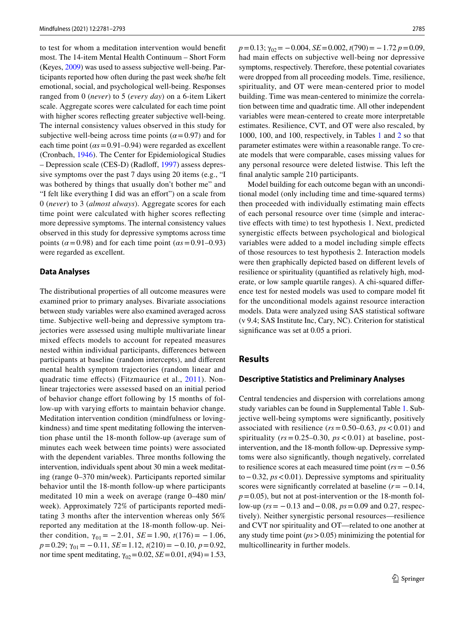to test for whom a meditation intervention would beneft most. The 14-item Mental Health Continuum – Short Form (Keyes, [2009](#page-11-26)) was used to assess subjective well-being. Participants reported how often during the past week she/he felt emotional, social, and psychological well-being. Responses ranged from 0 (*never*) to 5 (*every day*) on a 6-item Likert scale. Aggregate scores were calculated for each time point with higher scores refecting greater subjective well-being. The internal consistency values observed in this study for subjective well-being across time points ( $\alpha$ =0.97) and for each time point  $(\alpha s = 0.91 - 0.94)$  were regarded as excellent (Cronbach, [1946\)](#page-11-27). The Center for Epidemiological Studies – Depression scale (CES-D) (Radlof, [1997](#page-12-14)) assess depressive symptoms over the past 7 days using 20 items (e.g., "I was bothered by things that usually don't bother me" and "I felt like everything I did was an efort") on a scale from 0 (*never*) to 3 (*almost always*). Aggregate scores for each time point were calculated with higher scores refecting more depressive symptoms. The internal consistency values observed in this study for depressive symptoms across time points ( $\alpha$ =0.98) and for each time point ( $\alpha$ s=0.91–0.93) were regarded as excellent.

#### **Data Analyses**

The distributional properties of all outcome measures were examined prior to primary analyses. Bivariate associations between study variables were also examined averaged across time. Subjective well-being and depressive symptom trajectories were assessed using multiple multivariate linear mixed effects models to account for repeated measures nested within individual participants, diferences between participants at baseline (random intercepts), and diferent mental health symptom trajectories (random linear and quadratic time efects) (Fitzmaurice et al., [2011](#page-11-28)). Nonlinear trajectories were assessed based on an initial period of behavior change efort following by 15 months of follow-up with varying efforts to maintain behavior change. Meditation intervention condition (mindfulness or lovingkindness) and time spent meditating following the intervention phase until the 18-month follow-up (average sum of minutes each week between time points) were associated with the dependent variables. Three months following the intervention, individuals spent about 30 min a week meditating (range 0–370 min/week). Participants reported similar behavior until the 18-month follow-up where participants meditated 10 min a week on average (range 0–480 min/ week). Approximately 72% of participants reported meditating 3 months after the intervention whereas only 56% reported any meditation at the 18-month follow-up. Neither condition,  $\gamma_{01} = -2.01$ , *SE* = 1.90, *t*(176) = -1.06, *p*=0.29; γ01= −0.11, *SE*=1.12, *t*(210)= −0.10, *p*=0.92, nor time spent meditating,  $\gamma_{02} = 0.02$ , *SE* = 0.01, *t*(94) = 1.53, *p*=0.13; γ<sub>02</sub> = −0.004, *SE* = 0.002, *t*(790) = −1.72 *p* = 0.09, had main efects on subjective well-being nor depressive symptoms, respectively. Therefore, these potential covariates were dropped from all proceeding models. Time, resilience, spirituality, and OT were mean-centered prior to model building. Time was mean-centered to minimize the correlation between time and quadratic time. All other independent variables were mean-centered to create more interpretable estimates. Resilience, CVT, and OT were also rescaled, by 1000, 100, and 100, respectively, in Tables [1](#page-5-0) and [2](#page-6-0) so that parameter estimates were within a reasonable range. To create models that were comparable, cases missing values for any personal resource were deleted listwise. This left the fnal analytic sample 210 participants.

Model building for each outcome began with an unconditional model (only including time and time-squared terms) then proceeded with individually estimating main efects of each personal resource over time (simple and interactive efects with time) to test hypothesis 1. Next, predicted synergistic efects between psychological and biological variables were added to a model including simple efects of those resources to test hypothesis 2. Interaction models were then graphically depicted based on diferent levels of resilience or spirituality (quantifed as relatively high, moderate, or low sample quartile ranges). A chi-squared diference test for nested models was used to compare model ft for the unconditional models against resource interaction models. Data were analyzed using SAS statistical software (v 9.4; SAS Institute Inc, Cary, NC). Criterion for statistical signifcance was set at 0.05 a priori.

# **Results**

#### **Descriptive Statistics and Preliminary Analyses**

Central tendencies and dispersion with correlations among study variables can be found in Supplemental Table 1. Subjective well-being symptoms were signifcantly, positively associated with resilience ( $rs = 0.50-0.63$ ,  $ps < 0.01$ ) and spirituality ( $rs = 0.25-0.30$ ,  $ps < 0.01$ ) at baseline, postintervention, and the 18-month follow-up. Depressive symptoms were also signifcantly, though negatively, correlated to resilience scores at each measured time point (*rs*= −0.56 to−0.32, *ps*<0.01). Depressive symptoms and spirituality scores were significantly correlated at baseline  $(r = -0.14,$  $p=0.05$ ), but not at post-intervention or the 18-month follow-up (*rs*= −0.13 and−0.08, *ps*=0.09 and 0.27, respectively). Neither synergistic personal resources—resilience and CVT nor spirituality and OT—related to one another at any study time point (*ps*>0.05) minimizing the potential for multicollinearity in further models.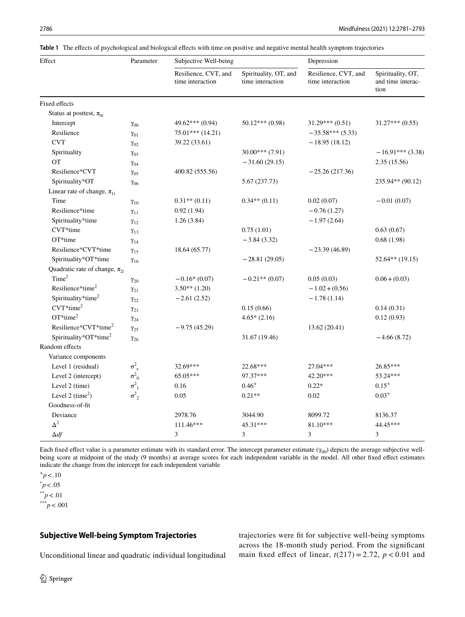<span id="page-5-0"></span>**Table 1** The efects of psychological and biological efects with time on positive and negative mental health symptom trajectories

| Effect                               | Parameter               | Subjective Well-being                    |                                           | Depression                               |                                                |
|--------------------------------------|-------------------------|------------------------------------------|-------------------------------------------|------------------------------------------|------------------------------------------------|
|                                      |                         | Resilience, CVT, and<br>time interaction | Spirituality, OT, and<br>time interaction | Resilience, CVT, and<br>time interaction | Spirituality, OT,<br>and time interac-<br>tion |
| Fixed effects                        |                         |                                          |                                           |                                          |                                                |
| Status at posttest, $\pi_{0i}$       |                         |                                          |                                           |                                          |                                                |
| Intercept                            | $\gamma_{00}$           | 49.62*** (0.94)                          | $50.12***(0.98)$                          | $31.29***(0.51)$                         | $31.27***(0.55)$                               |
| Resilience                           | $\gamma_{01}$           | $75.01***$ (14.21)                       |                                           | $-35.58***(5.33)$                        |                                                |
| <b>CVT</b>                           | $\gamma_{02}$           | 39.22 (33.61)                            |                                           | $-18.95(18.12)$                          |                                                |
| Spirituality                         | $\gamma_{03}$           |                                          | $30.00***$ (7.91)                         |                                          | $-16.91***$ (3.38)                             |
| <b>OT</b>                            | $\gamma_{04}$           |                                          | $-31.60(29.15)$                           |                                          | 2.35(15.56)                                    |
| Resilience*CVT                       | $\gamma_{05}$           | 400.82 (555.56)                          |                                           | $-25.26(217.36)$                         |                                                |
| Spirituality*OT                      | $\gamma_{06}$           |                                          | 5.67 (237.73)                             |                                          | 235.94** (90.12)                               |
| Linear rate of change, $\pi_{1i}$    |                         |                                          |                                           |                                          |                                                |
| Time                                 | $\gamma_{10}$           | $0.31**$ (0.11)                          | $0.34**$ (0.11)                           | 0.02(0.07)                               | $-0.01(0.07)$                                  |
| Resilience*time                      | $\gamma_{11}$           | 0.92(1.94)                               |                                           | $-0.76(1.27)$                            |                                                |
| Spirituality*time                    | $\gamma_{12}$           | 1.26(3.84)                               |                                           | $-1.97(2.64)$                            |                                                |
| CVT*time                             | $\gamma_{13}$           |                                          | 0.75(1.01)                                |                                          | 0.63(0.67)                                     |
| OT*time                              | $\gamma_{14}$           |                                          | $-3.84(3.32)$                             |                                          | 0.68(1.98)                                     |
| Resilience*CVT*time                  | $\gamma_{15}$           | 18.64 (65.77)                            |                                           | $-23.39(46.89)$                          |                                                |
| Spirituality*OT*time                 | $\gamma_{16}$           |                                          | $-28.81(29.05)$                           |                                          | $52.64**$ (19.15)                              |
| Quadratic rate of change, $\pi_{2i}$ |                         |                                          |                                           |                                          |                                                |
| Time <sup>2</sup>                    | $\gamma_{20}$           | $-0.16*(0.07)$                           | $-0.21**$ (0.07)                          | 0.05(0.03)                               | $0.06 + (0.03)$                                |
| Resilience*time <sup>2</sup>         | $\gamma_{21}$           | $3.50**$ (1.20)                          |                                           | $-1.02 + (0.56)$                         |                                                |
| Spirituality*time <sup>2</sup>       | $\gamma_{22}$           | $-2.61(2.52)$                            |                                           | $-1.78(1.14)$                            |                                                |
| $CVT*time^2$                         | $\gamma_{23}$           |                                          | 0.15(0.66)                                |                                          | 0.14(0.31)                                     |
| $OT*time^2$                          | $\gamma_{24}$           |                                          | $4.65*(2.16)$                             |                                          | 0.12(0.93)                                     |
| Resilience*CVT*time <sup>2</sup>     | $\gamma_{25}$           | $-9.75(45.29)$                           |                                           | 13.62(20.41)                             |                                                |
| Spirituality*OT*time <sup>2</sup>    | $\gamma_{26}$           |                                          | 31.67 (19.46)                             |                                          | $-4.66(8.72)$                                  |
| Random effects                       |                         |                                          |                                           |                                          |                                                |
| Variance components                  |                         |                                          |                                           |                                          |                                                |
| Level 1 (residual)                   | $\sigma^2_{\ \epsilon}$ | 32.69***                                 | 22.68***                                  | 27.04***                                 | 26.85***                                       |
| Level 2 (intercept)                  | $\sigma^2_{0}$          | 65.05***                                 | 97.37***                                  | 42.20***                                 | 53.24***                                       |
| Level 2 (time)                       | $\sigma^2_{1}$          | 0.16                                     | $0.46^{+}$                                | $0.22*$                                  | $0.15^{+}$                                     |
| Level 2 (time <sup>2</sup> )         | $\sigma^2$ <sub>2</sub> | 0.05                                     | $0.21**$                                  | 0.02                                     | $0.03^{+}$                                     |
| Goodness-of-fit                      |                         |                                          |                                           |                                          |                                                |
| Deviance                             |                         | 2978.76                                  | 3044.90                                   | 8099.72                                  | 8136.37                                        |
| $\Delta^2$                           |                         | $111.46***$                              | 45.31***                                  | 81.10***                                 | 44.45***                                       |
| $\Delta df$                          |                         | 3                                        | 3                                         | 3                                        | 3                                              |

Each fixed effect value is a parameter estimate with its standard error. The intercept parameter estimate  $(\gamma_{00})$  depicts the average subjective wellbeing score at midpoint of the study (9 months) at average scores for each independent variable in the model. All other fxed efect estimates indicate the change from the intercept for each independent variable

 $^*p < .05$ 

\*\**p*<.01

\*\*\**p*<.001

## **Subjective Well‑being Symptom Trajectories**

trajectories were ft for subjective well-being symptoms across the 18-month study period. From the signifcant main fixed effect of linear,  $t(217) = 2.72$ ,  $p < 0.01$  and

Unconditional linear and quadratic individual longitudinal

 $+p < .10$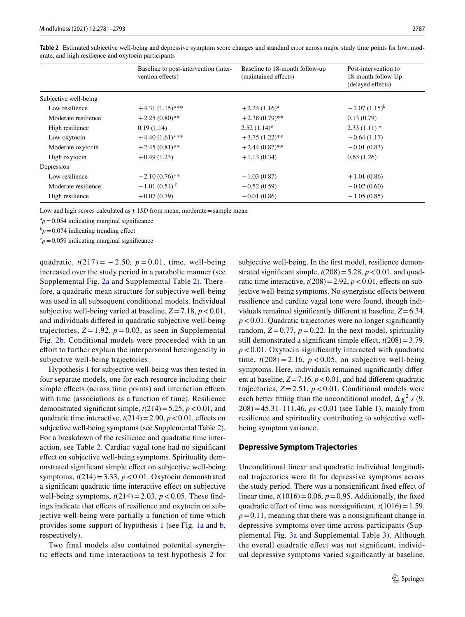|                       | Baseline to post-intervention (inter-<br>vention effects) | Baseline to 18-month follow-up<br>(maintained effects) | Post-intervention to<br>18-month follow-Up<br>(delayed effects) |
|-----------------------|-----------------------------------------------------------|--------------------------------------------------------|-----------------------------------------------------------------|
| Subjective well-being |                                                           |                                                        |                                                                 |
| Low resilience        | $+4.31(1.15)$ ***                                         | $+2.24(1.16)^{a}$                                      | $-2.07(1.15)^{b}$                                               |
| Moderate resilience   | $+2.25(0.80)$ **                                          | $+2.38(0.79)$ **                                       | 0.13(0.79)                                                      |
| High resilience       | 0.19(1.14)                                                | $2.52(1.14)^*$                                         | $2.33(1.11)*$                                                   |
| Low oxytocin          | $+4.40(1.61)$ ***                                         | $+3.75(1.22)$ **                                       | $-0.64(1.17)$                                                   |
| Moderate oxytocin     | $+2.45(0.81)$ **                                          | $+2.44(0.87)$ **                                       | $-0.01(0.83)$                                                   |
| High oxytocin         | $+0.49(1.23)$                                             | $+1.13(0.34)$                                          | 0.63(1.26)                                                      |
| Depression            |                                                           |                                                        |                                                                 |
| Low resilience        | $-2.10(0.76)$ **                                          | $-1.03(0.87)$                                          | $+1.01(0.86)$                                                   |
| Moderate resilience   | $-1.01(0.54)$ <sup>c</sup>                                | $-0.52(0.59)$                                          | $-0.02(0.60)$                                                   |
| High resilience       | $+0.07(0.79)$                                             | $-0.01(0.86)$                                          | $-1.05(0.85)$                                                   |

<span id="page-6-0"></span>**Table 2** Estimated subjective well-being and depressive symptom score changes and standard error across major study time points for low, moderate, and high resilience and oxytocin participants

Low and high scores calculated as  $\pm$  1*SD* from mean, moderate = sample mean

 $a_p = 0.054$  indicating marginal significance

 $b_p = 0.074$  indicating trending effect

 $c_p$ =0.059 indicating marginal significance

quadratic,  $t(217) = -2.50$ ,  $p = 0.01$ , time, well-being increased over the study period in a parabolic manner (see Supplemental Fig. 2a and Supplemental Table 2). Therefore, a quadratic mean structure for subjective well-being was used in all subsequent conditional models. Individual subjective well-being varied at baseline,  $Z = 7.18$ ,  $p < 0.01$ , and individuals difered in quadratic subjective well-being trajectories,  $Z = 1.92$ ,  $p = 0.03$ , as seen in Supplemental Fig. 2b. Conditional models were proceeded with in an efort to further explain the interpersonal heterogeneity in subjective well-being trajectories.

Hypothesis 1 for subjective well-being was then tested in four separate models, one for each resource including their simple effects (across time points) and interaction effects with time (associations as a function of time). Resilience demonstrated significant simple,  $t(214)=5.25$ ,  $p < 0.01$ , and quadratic time interactive,  $t(214) = 2.90$ ,  $p < 0.01$ , effects on subjective well-being symptoms (see Supplemental Table 2). For a breakdown of the resilience and quadratic time interaction, see Table [2](#page-6-0). Cardiac vagal tone had no signifcant efect on subjective well-being symptoms. Spirituality demonstrated signifcant simple efect on subjective well-being symptoms,  $t(214) = 3.33$ ,  $p < 0.01$ . Oxytocin demonstrated a signifcant quadratic time interactive efect on subjective well-being symptoms,  $t(214) = 2.03$ ,  $p < 0.05$ . These findings indicate that efects of resilience and oxytocin on subjective well-being were partially a function of time which provides some support of hypothesis 1 (see Fig. [1a](#page-7-0) and [b,](#page-7-0) respectively).

Two final models also contained potential synergistic efects and time interactions to test hypothesis 2 for subjective well-being. In the frst model, resilience demonstrated significant simple,  $t(208) = 5.28$ ,  $p < 0.01$ , and quadratic time interactive,  $t(208) = 2.92$ ,  $p < 0.01$ , effects on subjective well-being symptoms. No synergistic effects between resilience and cardiac vagal tone were found, though individuals remained signifcantly diferent at baseline, *Z*=6.34,  $p$ <0.01. Quadratic trajectories were no longer significantly random,  $Z=0.77$ ,  $p=0.22$ . In the next model, spirituality still demonstrated a significant simple effect,  $t(208) = 3.79$ , *p*<0.01. Oxytocin signifcantly interacted with quadratic time,  $t(208) = 2.16$ ,  $p < 0.05$ , on subjective well-being symptoms. Here, individuals remained signifcantly diferent at baseline,  $Z = 7.16$ ,  $p < 0.01$ , and had different quadratic trajectories,  $Z = 2.51$ ,  $p < 0.01$ . Conditional models were each better fitting than the unconditional model,  $\Delta \chi^2$  *s* (9, 208)=45.31–111.46, *ps*<0.01 (see Table [1\)](#page-5-0), mainly from resilience and spirituality contributing to subjective wellbeing symptom variance.

#### **Depressive Symptom Trajectories**

Unconditional linear and quadratic individual longitudinal trajectories were ft for depressive symptoms across the study period. There was a nonsignifcant fxed efect of linear time,  $t(1016) = 0.06$ ,  $p = 0.95$ . Additionally, the fixed quadratic effect of time was nonsignificant,  $t(1016)=1.59$ ,  $p=0.11$ , meaning that there was a nonsignificant change in depressive symptoms over time across participants (Supplemental Fig. 3a and Supplemental Table 3). Although the overall quadratic efect was not signifcant, individual depressive symptoms varied signifcantly at baseline,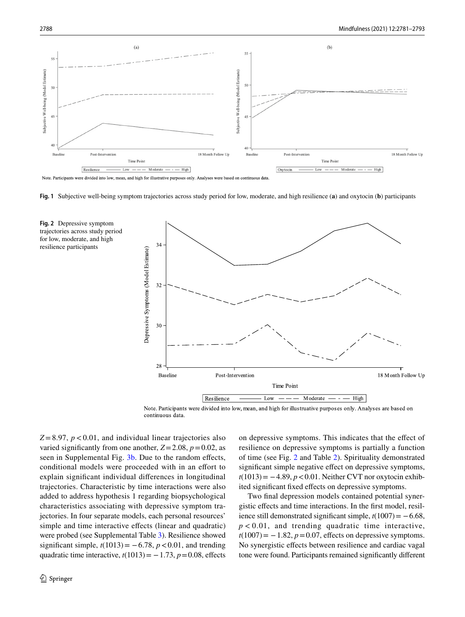

Note. Participants were divided into low, mean, and high for illustrative purposes only. Analyses were based on continuous data.

<span id="page-7-0"></span>

<span id="page-7-1"></span>





 $Z = 8.97$ ,  $p < 0.01$ , and individual linear trajectories also varied significantly from one another,  $Z = 2.08$ ,  $p = 0.02$ , as seen in Supplemental Fig. 3b. Due to the random effects, conditional models were proceeded with in an effort to explain signifcant individual diferences in longitudinal trajectories. Characteristic by time interactions were also added to address hypothesis 1 regarding biopsychological characteristics associating with depressive symptom trajectories. In four separate models, each personal resources' simple and time interactive efects (linear and quadratic) were probed (see Supplemental Table 3). Resilience showed significant simple,  $t(1013) = -6.78$ ,  $p < 0.01$ , and trending quadratic time interactive,  $t(1013) = -1.73$ ,  $p = 0.08$ , effects on depressive symptoms. This indicates that the efect of resilience on depressive symptoms is partially a function of time (see Fig. [2](#page-7-1) and Table [2](#page-6-0)). Spirituality demonstrated signifcant simple negative efect on depressive symptoms, *t*(1013) = −4.89, *p* < 0.01. Neither CVT nor oxytocin exhibited significant fixed effects on depressive symptoms.

Two fnal depression models contained potential synergistic efects and time interactions. In the frst model, resilience still demonstrated significant simple,  $t(1007) = -6.68$ ,  $p < 0.01$ , and trending quadratic time interactive,  $t(1007) = -1.82$ ,  $p = 0.07$ , effects on depressive symptoms. No synergistic efects between resilience and cardiac vagal tone were found. Participants remained signifcantly diferent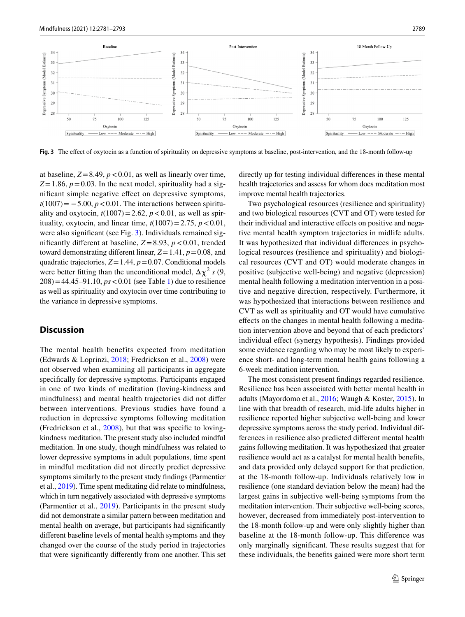

<span id="page-8-0"></span>**Fig. 3** The efect of oxytocin as a function of spirituality on depressive symptoms at baseline, post-intervention, and the 18-month follow-up

at baseline,  $Z = 8.49$ ,  $p < 0.01$ , as well as linearly over time,  $Z=1.86$ ,  $p=0.03$ . In the next model, spirituality had a signifcant simple negative efect on depressive symptoms,  $t(1007) = -5.00, p < 0.01$ . The interactions between spirituality and oxytocin,  $t(1007) = 2.62$ ,  $p < 0.01$ , as well as spirituality, oxytocin, and linear time,  $t(1007)=2.75$ ,  $p < 0.01$ , were also significant (see Fig. [3\)](#page-8-0). Individuals remained signifcantly diferent at baseline, *Z*=8.93, *p*<0.01, trended toward demonstrating diferent linear, *Z*=1.41, *p*=0.08, and quadratic trajectories, *Z*=1.44, *p*=0.07. Conditional models were better fitting than the unconditional model,  $\Delta \chi^2$  *s* (9,  $208$ ) = 44.45–91.10,  $ps < 0.01$  (see Table [1\)](#page-5-0) due to resilience as well as spirituality and oxytocin over time contributing to the variance in depressive symptoms.

# **Discussion**

The mental health benefits expected from meditation (Edwards & Loprinzi, [2018;](#page-11-1) Fredrickson et al., [2008\)](#page-11-3) were not observed when examining all participants in aggregate specifcally for depressive symptoms. Participants engaged in one of two kinds of meditation (loving-kindness and mindfulness) and mental health trajectories did not difer between interventions. Previous studies have found a reduction in depressive symptoms following meditation (Fredrickson et al., [2008](#page-11-3)), but that was specifc to lovingkindness meditation. The present study also included mindful meditation. In one study, though mindfulness was related to lower depressive symptoms in adult populations, time spent in mindful meditation did not directly predict depressive symptoms similarly to the present study fndings (Parmentier et al., [2019\)](#page-12-15). Time spent meditating did relate to mindfulness, which in turn negatively associated with depressive symptoms (Parmentier et al., [2019](#page-12-15)). Participants in the present study did not demonstrate a similar pattern between meditation and mental health on average, but participants had signifcantly diferent baseline levels of mental health symptoms and they changed over the course of the study period in trajectories that were signifcantly diferently from one another. This set

directly up for testing individual diferences in these mental health trajectories and assess for whom does meditation most improve mental health trajectories.

Two psychological resources (resilience and spirituality) and two biological resources (CVT and OT) were tested for their individual and interactive efects on positive and negative mental health symptom trajectories in midlife adults. It was hypothesized that individual diferences in psychological resources **(**resilience and spirituality) and biological resources (CVT and OT) would moderate changes in positive (subjective well-being) and negative (depression) mental health following a meditation intervention in a positive and negative direction, respectively. Furthermore, it was hypothesized that interactions between resilience and CVT as well as spirituality and OT would have cumulative efects on the changes in mental health following a meditation intervention above and beyond that of each predictors' individual efect (synergy hypothesis). Findings provided some evidence regarding who may be most likely to experience short- and long-term mental health gains following a 6-week meditation intervention.

The most consistent present fndings regarded resilience. Resilience has been associated with better mental health in adults (Mayordomo et al., [2016;](#page-12-3) Waugh & Koster, [2015\)](#page-12-16). In line with that breadth of research, mid-life adults higher in resilience reported higher subjective well-being and lower depressive symptoms across the study period. Individual differences in resilience also predicted diferent mental health gains following meditation. It was hypothesized that greater resilience would act as a catalyst for mental health benefts, and data provided only delayed support for that prediction, at the 18-month follow-up. Individuals relatively low in resilience (one standard deviation below the mean) had the largest gains in subjective well-being symptoms from the meditation intervention. Their subjective well-being scores, however, decreased from immediately post-intervention to the 18-month follow-up and were only slightly higher than baseline at the 18-month follow-up. This diference was only marginally signifcant. These results suggest that for these individuals, the benefts gained were more short term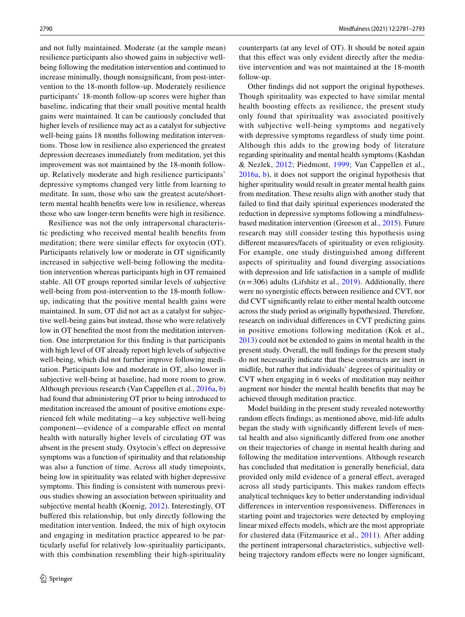and not fully maintained. Moderate (at the sample mean) resilience participants also showed gains in subjective wellbeing following the meditation intervention and continued to increase minimally, though nonsignifcant, from post-intervention to the 18-month follow-up. Moderately resilience participants' 18-month follow-up scores were higher than baseline, indicating that their small positive mental health gains were maintained. It can be cautiously concluded that higher levels of resilience may act as a catalyst for subjective well-being gains 18 months following meditation interventions. Those low in resilience also experienced the greatest depression decreases immediately from meditation, yet this improvement was not maintained by the 18-month followup. Relatively moderate and high resilience participants' depressive symptoms changed very little from learning to meditate. In sum, those who saw the greatest acute/shortterm mental health benefts were low in resilience, whereas those who saw longer-term benefts were high in resilience.

Resilience was not the only intrapersonal characteristic predicting who received mental health benefts from meditation; there were similar efects for oxytocin (OT). Participants relatively low or moderate in OT signifcantly increased in subjective well-being following the meditation intervention whereas participants high in OT remained stable. All OT groups reported similar levels of subjective well-being from post-intervention to the 18-month followup, indicating that the positive mental health gains were maintained. In sum, OT did not act as a catalyst for subjective well-being gains but instead, those who were relatively low in OT benefted the most from the meditation intervention. One interpretation for this fnding is that participants with high level of OT already report high levels of subjective well-being, which did not further improve following meditation. Participants low and moderate in OT, also lower in subjective well-being at baseline, had more room to grow. Although previous research (Van Cappellen et al., [2016a](#page-12-5), [b\)](#page-12-6) had found that administering OT prior to being introduced to meditation increased the amount of positive emotions experienced felt while meditating—a key subjective well-being component—evidence of a comparable efect on mental health with naturally higher levels of circulating OT was absent in the present study. Oxytocin's efect on depressive symptoms was a function of spirituality and that relationship was also a function of time. Across all study timepoints, being low in spirituality was related with higher depressive symptoms. This fnding is consistent with numerous previous studies showing an association between spirituality and subjective mental health (Koenig, [2012](#page-11-29)). Interestingly, OT bufered this relationship, but only directly following the meditation intervention. Indeed, the mix of high oxytocin and engaging in meditation practice appeared to be particularly useful for relatively low-spirituality participants, with this combination resembling their high-spirituality counterparts (at any level of OT). It should be noted again that this efect was only evident directly after the mediative intervention and was not maintained at the 18-month follow-up.

Other fndings did not support the original hypotheses. Though spirituality was expected to have similar mental health boosting effects as resilience, the present study only found that spirituality was associated positively with subjective well-being symptoms and negatively with depressive symptoms regardless of study time point. Although this adds to the growing body of literature regarding spirituality and mental health symptoms (Kashdan & Nezlek, [2012](#page-11-11); Piedmont, [1999;](#page-12-4) Van Cappellen et al., [2016a](#page-12-5), [b\)](#page-12-6), it does not support the original hypothesis that higher spirituality would result in greater mental health gains from meditation. These results align with another study that failed to fnd that daily spiritual experiences moderated the reduction in depressive symptoms following a mindfulnessbased meditation intervention (Greeson et al., [2015](#page-11-12)). Future research may still consider testing this hypothesis using diferent measures/facets of spirituality or even religiosity. For example, one study distinguished among different aspects of spirituality and found diverging associations with depression and life satisfaction in a sample of midlife  $(n=306)$  adults (Lifshitz et al., [2019](#page-11-30)). Additionally, there were no synergistic effects between resilience and CVT, nor did CVT signifcantly relate to either mental health outcome across the study period as originally hypothesized. Therefore, research on individual diferences in CVT predicting gains in positive emotions following meditation (Kok et al., [2013](#page-11-13)) could not be extended to gains in mental health in the present study. Overall, the null fndings for the present study do not necessarily indicate that these constructs are inert in midlife, but rather that individuals' degrees of spirituality or CVT when engaging in 6 weeks of meditation may neither augment nor hinder the mental health benefts that may be achieved through meditation practice.

Model building in the present study revealed noteworthy random efects fndings; as mentioned above, mid-life adults began the study with signifcantly diferent levels of mental health and also signifcantly difered from one another on their trajectories of change in mental health during and following the meditation interventions. Although research has concluded that meditation is generally beneficial, data provided only mild evidence of a general efect, averaged across all study participants. This makes random efects analytical techniques key to better understanding individual diferences in intervention responsiveness. Diferences in starting point and trajectories were detected by employing linear mixed efects models, which are the most appropriate for clustered data (Fitzmaurice et al., [2011\)](#page-11-28). After adding the pertinent intrapersonal characteristics, subjective wellbeing trajectory random effects were no longer significant,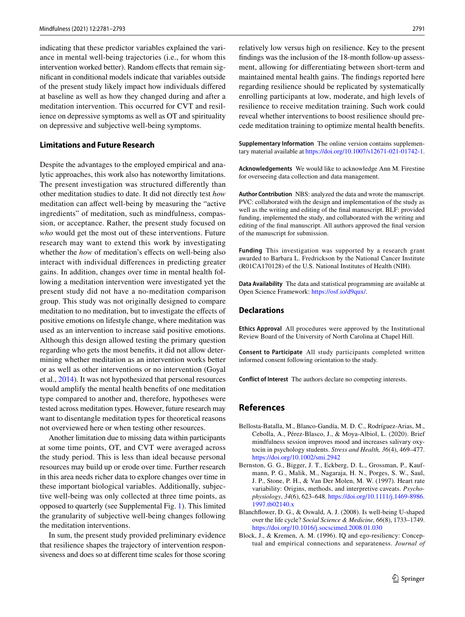indicating that these predictor variables explained the variance in mental well-being trajectories (i.e., for whom this intervention worked better). Random effects that remain signifcant in conditional models indicate that variables outside of the present study likely impact how individuals difered at baseline as well as how they changed during and after a meditation intervention. This occurred for CVT and resilience on depressive symptoms as well as OT and spirituality on depressive and subjective well-being symptoms.

## **Limitations and Future Research**

Despite the advantages to the employed empirical and analytic approaches, this work also has noteworthy limitations. The present investigation was structured diferently than other meditation studies to date. It did not directly test *how* meditation can afect well-being by measuring the "active ingredients" of meditation, such as mindfulness, compassion, or acceptance. Rather, the present study focused on *who* would get the most out of these interventions. Future research may want to extend this work by investigating whether the *how* of meditation's effects on well-being also interact with individual diferences in predicting greater gains. In addition, changes over time in mental health following a meditation intervention were investigated yet the present study did not have a no-meditation comparison group. This study was not originally designed to compare meditation to no meditation, but to investigate the efects of positive emotions on lifestyle change, where meditation was used as an intervention to increase said positive emotions. Although this design allowed testing the primary question regarding who gets the most benefts, it did not allow determining whether meditation as an intervention works better or as well as other interventions or no intervention (Goyal et al., [2014\)](#page-11-2). It was not hypothesized that personal resources would amplify the mental health benefts of one meditation type compared to another and, therefore, hypotheses were tested across meditation types. However, future research may want to disentangle meditation types for theoretical reasons not overviewed here or when testing other resources.

Another limitation due to missing data within participants at some time points, OT, and CVT were averaged across the study period. This is less than ideal because personal resources may build up or erode over time. Further research in this area needs richer data to explore changes over time in these important biological variables. Additionally, subjective well-being was only collected at three time points, as opposed to quarterly (see Supplemental Fig. 1). This limited the granularity of subjective well-being changes following the meditation interventions.

In sum, the present study provided preliminary evidence that resilience shapes the trajectory of intervention responsiveness and does so at diferent time scales for those scoring

relatively low versus high on resilience. Key to the present fndings was the inclusion of the 18-month follow-up assessment, allowing for diferentiating between short-term and maintained mental health gains. The fndings reported here regarding resilience should be replicated by systematically enrolling participants at low, moderate, and high levels of resilience to receive meditation training. Such work could reveal whether interventions to boost resilience should precede meditation training to optimize mental health benefts.

**Supplementary Information** The online version contains supplementary material available at<https://doi.org/10.1007/s12671-021-01742-1>.

**Acknowledgements** We would like to acknowledge Ann M. Firestine for overseeing data collection and data management.

**Author Contribution** NBS: analyzed the data and wrote the manuscript. PVC: collaborated with the design and implementation of the study as well as the writing and editing of the fnal manuscript. BLF: provided funding, implemented the study, and collaborated with the writing and editing of the fnal manuscript. All authors approved the fnal version of the manuscript for submission.

**Funding** This investigation was supported by a research grant awarded to Barbara L. Fredrickson by the National Cancer Institute (R01CA170128) of the U.S. National Institutes of Health (NIH).

**Data Availability** The data and statistical programming are available at Open Science Framework: [https://osf.io/d9qux/.](https://osf.io/d9qux/)

#### **Declarations**

**Ethics Approval** All procedures were approved by the Institutional Review Board of the University of North Carolina at Chapel Hill.

**Consent to Participate** All study participants completed written informed consent following orientation to the study.

**Conflict of Interest** The authors declare no competing interests.

# **References**

- <span id="page-10-1"></span>Bellosta-Batalla, M., Blanco-Gandía, M. D. C., Rodríguez-Arias, M., Cebolla, A., Pérez-Blasco, J., & Moya-Albiol, L. (2020). Brief mindfulness session improves mood and increases salivary oxytocin in psychology students. *Stress and Health, 36*(4), 469–477. <https://doi.org/10.1002/smi.2942>
- <span id="page-10-0"></span>Bernston, G. G., Bigger, J. T., Eckberg, D. L., Grossman, P., Kaufmann, P. G., Malik, M., Nagaraja, H. N., Porges, S. W., Saul, J. P., Stone, P. H., & Van Der Molen, M. W. (1997). Heart rate variability: Origins, methods, and interpretive caveats. *Psychophysiology*, *34*(6), 623–648. [https://doi.org/10.1111/j.1469-8986.](https://doi.org/10.1111/j.1469-8986.1997.tb02140.x) [1997.tb02140.x](https://doi.org/10.1111/j.1469-8986.1997.tb02140.x)
- <span id="page-10-2"></span>Blanchfower, D. G., & Oswald, A. J. (2008). Is well-being U-shaped over the life cycle? *Social Science & Medicine, 66*(8), 1733–1749. <https://doi.org/10.1016/j.socscimed.2008.01.030>
- <span id="page-10-3"></span>Block, J., & Kremen, A. M. (1996). IQ and ego-resiliency: Conceptual and empirical connections and separateness. *Journal of*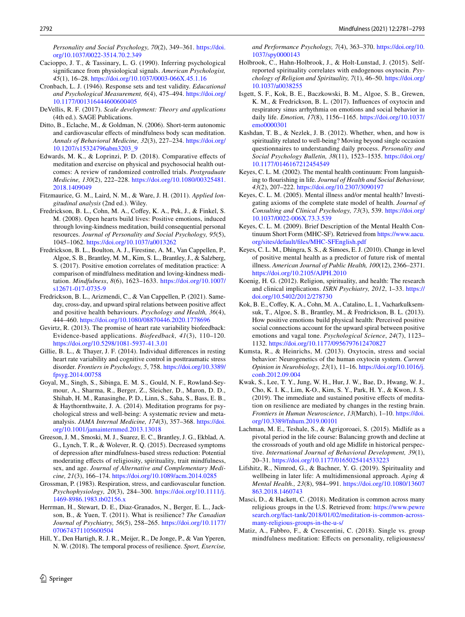*Personality and Social Psychology, 70*(2), 349–361. [https://doi.](https://doi.org/10.1037/0022-3514.70.2.349) [org/10.1037/0022-3514.70.2.349](https://doi.org/10.1037/0022-3514.70.2.349)

- <span id="page-11-18"></span>Cacioppo, J. T., & Tassinary, L. G. (1990). Inferring psychological signifcance from physiological signals. *American Psychologist, 45*(1), 16–28. <https://doi.org/10.1037/0003-066X.45.1.16>
- <span id="page-11-27"></span>Cronbach, L. J. (1946). Response sets and test validity. *Educational and Psychological Measurement, 6*(4), 475–494. [https://doi.org/](https://doi.org/10.1177/001316444600600405) [10.1177/001316444600600405](https://doi.org/10.1177/001316444600600405)
- <span id="page-11-24"></span>DeVellis, R. F. (2017). *Scale development: Theory and applications* (4th ed.). SAGE Publications.
- <span id="page-11-21"></span>Ditto, B., Eclache, M., & Goldman, N. (2006). Short-term autonomic and cardiovascular efects of mindfulness body scan meditation. *Annals of Behavioral Medicine, 32*(3), 227–234. [https://doi.org/](https://doi.org/10.1207/s15324796abm3203_9) [10.1207/s15324796abm3203\\_9](https://doi.org/10.1207/s15324796abm3203_9)
- <span id="page-11-1"></span>Edwards, M. K., & Loprinzi, P. D. (2018). Comparative efects of meditation and exercise on physical and psychosocial health outcomes: A review of randomized controlled trials. *Postgraduate Medicine, 130*(2), 222–228. [https://doi.org/10.1080/00325481.](https://doi.org/10.1080/00325481.2018.1409049) [2018.1409049](https://doi.org/10.1080/00325481.2018.1409049)
- <span id="page-11-28"></span>Fitzmaurice, G. M., Laird, N. M., & Ware, J. H. (2011). *Applied longitudinal analysis* (2nd ed.). Wiley.
- <span id="page-11-3"></span>Fredrickson, B. L., Cohn, M. A., Coffey, K. A., Pek, J., & Finkel, S. M. (2008). Open hearts build lives: Positive emotions, induced through loving-kindness meditation, build consequential personal resources. *Journal of Personality and Social Psychology, 95*(5), 1045–1062. <https://doi.org/10.1037/a0013262>
- <span id="page-11-7"></span>Fredrickson, B. L., Boulton, A. J., Firestine, A. M., Van Cappellen, P., Algoe, S. B., Brantley, M. M., Kim, S. L., Brantley, J., & Salzberg, S. (2017). Positive emotion correlates of meditation practice: A comparison of mindfulness meditation and loving-kindness meditation. *Mindfulness*, *8*(6), 1623–1633. [https://doi.org/10.1007/](https://doi.org/10.1007/s12671-017-0735-9) [s12671-017-0735-9](https://doi.org/10.1007/s12671-017-0735-9)
- <span id="page-11-23"></span>Fredrickson, B. L., Arizmendi, C., & Van Cappellen, P. (2021). Sameday, cross-day, and upward spiral relations between positive afect and positive health behaviours. *Psychology and Health, 36*(4), 444–460.<https://doi.org/10.1080/08870446.2020.1778696>
- <span id="page-11-15"></span>Gevirtz, R. (2013). The promise of heart rate variability biofeedback: Evidence-based applications. *Biofeedback, 41*(3), 110–120. <https://doi.org/10.5298/1081-5937-41.3.01>
- <span id="page-11-14"></span>Gillie, B. L., & Thayer, J. F. (2014). Individual diferences in resting heart rate variability and cognitive control in posttraumatic stress disorder. *Frontiers in Psychology, 5*, 758. [https://doi.org/10.3389/](https://doi.org/10.3389/fpsyg.2014.00758) [fpsyg.2014.00758](https://doi.org/10.3389/fpsyg.2014.00758)
- <span id="page-11-2"></span>Goyal, M., Singh, S., Sibinga, E. M. S., Gould, N. F., Rowland-Seymour, A., Sharma, R., Berger, Z., Sleicher, D., Maron, D. D., Shihab, H. M., Ranasinghe, P. D., Linn, S., Saha, S., Bass, E. B., & Haythornthwaite, J. A. (2014). Meditation programs for psychological stress and well-being: A systematic review and metaanalysis. *JAMA Internal Medicine, 174*(3), 357–368. [https://doi.](https://doi.org/10.1001/jamainternmed.2013.13018) [org/10.1001/jamainternmed.2013.13018](https://doi.org/10.1001/jamainternmed.2013.13018)
- <span id="page-11-12"></span>Greeson, J. M., Smoski, M. J., Suarez, E. C., Brantley, J. G., Ekblad, A. G., Lynch, T. R., & Wolever, R. Q. (2015). Decreased symptoms of depression after mindfulness-based stress reduction: Potential moderating efects of religiosity, spirituality, trait mindfulness, sex, and age. *Journal of Alternative and Complementary Medicine, 21*(3), 166–174. <https://doi.org/10.1089/acm.2014.0285>
- <span id="page-11-25"></span>Grossman, P. (1983). Respiration, stress, and cardiovascular function. *Psychophysiology, 20*(3), 284–300. [https://doi.org/10.1111/j.](https://doi.org/10.1111/j.1469-8986.1983.tb02156.x) [1469-8986.1983.tb02156.x](https://doi.org/10.1111/j.1469-8986.1983.tb02156.x)
- <span id="page-11-8"></span>Herrman, H., Stewart, D. E., Diaz-Granados, N., Berger, E. L., Jackson, B., & Yuen, T. (2011). What is resilience? *The Canadian Journal of Psychiatry, 56*(5), 258–265. [https://doi.org/10.1177/](https://doi.org/10.1177/070674371105600504) [070674371105600504](https://doi.org/10.1177/070674371105600504)
- <span id="page-11-9"></span>Hill, Y., Den Hartigh, R. J. R., Meijer, R., De Jonge, P., & Van Yperen, N. W. (2018). The temporal process of resilience. *Sport, Exercise,*

*and Performance Psychology, 7*(4), 363–370. [https://doi.org/10.](https://doi.org/10.1037/spy0000143) [1037/spy0000143](https://doi.org/10.1037/spy0000143)

- <span id="page-11-19"></span>Holbrook, C., Hahn-Holbrook, J., & Holt-Lunstad, J. (2015). Selfreported spirituality correlates with endogenous oxytocin. *Psychology of Religion and Spirituality, 7*(1), 46–50. [https://doi.org/](https://doi.org/10.1037/a0038255) [10.1037/a0038255](https://doi.org/10.1037/a0038255)
- <span id="page-11-16"></span>Isgett, S. F., Kok, B. E., Baczkowski, B. M., Algoe, S. B., Grewen, K. M., & Fredrickson, B. L. (2017). Infuences of oxytocin and respiratory sinus arrhythmia on emotions and social behavior in daily life. *Emotion, 17*(8), 1156–1165. [https://doi.org/10.1037/](https://doi.org/10.1037/emo0000301) [emo0000301](https://doi.org/10.1037/emo0000301)
- <span id="page-11-11"></span>Kashdan, T. B., & Nezlek, J. B. (2012). Whether, when, and how is spirituality related to well-being? Moving beyond single occasion questionnaires to understanding daily process. *Personality and Social Psychology Bulletin, 38*(11), 1523–1535. [https://doi.org/](https://doi.org/10.1177/0146167212454549) [10.1177/0146167212454549](https://doi.org/10.1177/0146167212454549)
- <span id="page-11-4"></span>Keyes, C. L. M. (2002). The mental health continuum: From languishing to fourishing in life. *Journal of Health and Social Behaviour, 43*(2), 207–222.<https://doi.org/10.2307/3090197>
- <span id="page-11-5"></span>Keyes, C. L. M. (2005). Mental illness and/or mental health? Investigating axioms of the complete state model of health. *Journal of Consulting and Clinical Psychology, 73*(3), 539. [https://doi.org/](https://doi.org/10.1037/0022-006X.73.3.539) [10.1037/0022-006X.73.3.539](https://doi.org/10.1037/0022-006X.73.3.539)
- <span id="page-11-26"></span>Keyes, C. L. M. (2009). Brief Description of the Mental Health Continuum Short Form (MHC-SF). Retrieved from [https://www.aacu.](https://www.aacu.org/sites/default/files/MHC-SFEnglish.pdf) [org/sites/default/fles/MHC-SFEnglish.pdf](https://www.aacu.org/sites/default/files/MHC-SFEnglish.pdf)
- <span id="page-11-6"></span>Keyes, C. L. M., Dhingra, S. S., & Simoes, E. J. (2010). Change in level of positive mental health as a predictor of future risk of mental illness. *American Journal of Public Health, 100*(12), 2366–2371. <https://doi.org/10.2105/AJPH.2010>
- <span id="page-11-29"></span>Koenig, H. G. (2012). Religion, spirituality, and health: The research and clinical implications. *ISRN Psychiatry, 2012*, 1–33. [https://](https://doi.org/10.5402/2012/278730) [doi.org/10.5402/2012/278730](https://doi.org/10.5402/2012/278730)
- <span id="page-11-13"></span>Kok, B. E., Coffey, K. A., Cohn, M. A., Catalino, L. I., Vacharkulksemsuk, T., Algoe, S. B., Brantley, M., & Fredrickson, B. L. (2013). How positive emotions build physical health: Perceived positive social connections account for the upward spiral between positive emotions and vagal tone. *Psychological Science*, *24*(7), 1123– 1132. <https://doi.org/10.1177/0956797612470827>
- <span id="page-11-17"></span>Kumsta, R., & Heinrichs, M. (2013). Oxytocin, stress and social behavior: Neurogenetics of the human oxytocin system. *Current Opinion in Neurobiology, 23*(1), 11–16. [https://doi.org/10.1016/j.](https://doi.org/10.1016/j.conb.2012.09.004) [conb.2012.09.004](https://doi.org/10.1016/j.conb.2012.09.004)
- <span id="page-11-10"></span>Kwak, S., Lee, T. Y., Jung, W. H., Hur, J. W., Bae, D., Hwang, W. J., Cho, K. I. K., Lim, K-O., Kim, S. Y., Park, H. Y., & Kwon, J. S. (2019). The immediate and sustained positive efects of meditation on resilience are mediated by changes in the resting brain. *Frontiers in Human Neuroscience*, *13*(March), 1–10. [https://doi.](https://doi.org/10.3389/fnhum.2019.00101) [org/10.3389/fnhum.2019.00101](https://doi.org/10.3389/fnhum.2019.00101)
- <span id="page-11-22"></span>Lachman, M. E., Teshale, S., & Agrigoroaei, S. (2015). Midlife as a pivotal period in the life course: Balancing growth and decline at the crossroads of youth and old age Midlife in historical perspective. *International Journal of Behavioral Development, 39*(1), 20–31. <https://doi.org/10.1177/0165025414533223>
- <span id="page-11-30"></span>Lifshitz, R., Nimrod, G., & Bachner, Y. G. (2019). Spirituality and wellbeing in later life: A multidimensional approach. *Aging & Mental Health., 23*(8), 984–991. [https://doi.org/10.1080/13607](https://doi.org/10.1080/13607863.2018.1460743) [863.2018.1460743](https://doi.org/10.1080/13607863.2018.1460743)
- <span id="page-11-0"></span>Masci, D., & Hackett, C. (2018). Meditation is common across many religious groups in the U.S. Retrieved from: [https://www.pewre](https://www.pewresearch.org/fact-tank/2018/01/02/meditation-is-common-across-many-religious-groups-in-the-u-s/) [search.org/fact-tank/2018/01/02/meditation-is-common-across](https://www.pewresearch.org/fact-tank/2018/01/02/meditation-is-common-across-many-religious-groups-in-the-u-s/)[many-religious-groups-in-the-u-s/](https://www.pewresearch.org/fact-tank/2018/01/02/meditation-is-common-across-many-religious-groups-in-the-u-s/)
- <span id="page-11-20"></span>Matiz, A., Fabbro, F., & Crescentini, C. (2018). Single vs. group mindfulness meditation: Efects on personality, religiousness/